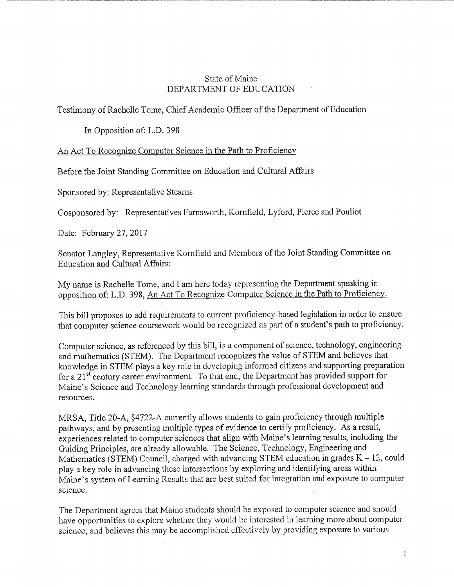## State of Maine DEPARTMENT OF EDUCATION

Testimony of Rachelle Tome, Chief Academic Officer of the Department of Education

In Opposition of: L.D. 398

An Act To Recognize Computer Science in the Path to Proficiency

Before the Joint Standing Committee on Education and Cultural Affairs

Sponsored by: Representative Stearns

Cosponsored by: Representatives Farnsworth, Kornfield, Lyford, Pierce and Pouliot

Date: February 27, 2017

Senator Langley, Representative Kornfield and Members of the Joint Standing Committee on Education and Cultural Affairs:

My name is Rachelle Tome, and I am here today representing the Department speaking in opposition of: L.D. 398, An Act To Recognize Computer Science in the Path to Proficiency.

This bill proposes to add requirements to current proficiency-based legislation in order to ensure that computer science coursework would be recognized as part of a student's path to proficiency.

Computer science, as referenced by this bill, is a component of science, technology, engineering and mathematics (STEM). The Department recognizes the value of STEM and believes that knowledge in STEM plays a key role in developing informed citizens and supporting preparation for a 21<sup>st</sup> century career environment. To that end, the Department has provided support for Maine's Science and Technology learning standards through professional development and resources.

MRSA, Title 20-A, §4722-A currently allows students to gain proficiency through multiple pathways, and by presenting multiple types of evidence to certify proficiency. As a result, experiences related to computer sciences that align with Maine's learning results, including the Guiding Principles, are already allowable. The Science, Technology, Engineering and Mathematics (STEM) Council, charged with advancing STEM education in grades  $K - 12$ , could play a key role in advancing these intersections by exploring and identifying areas within Maine's system of Learning Results that are best suited for integration and exposure to computer science.

The Department agrees that Maine students should be exposed to computer science and should have opportunities to explore whether they would be interested in learning more about computer science, and believes this may be accomplished effectively by providing exposure to various